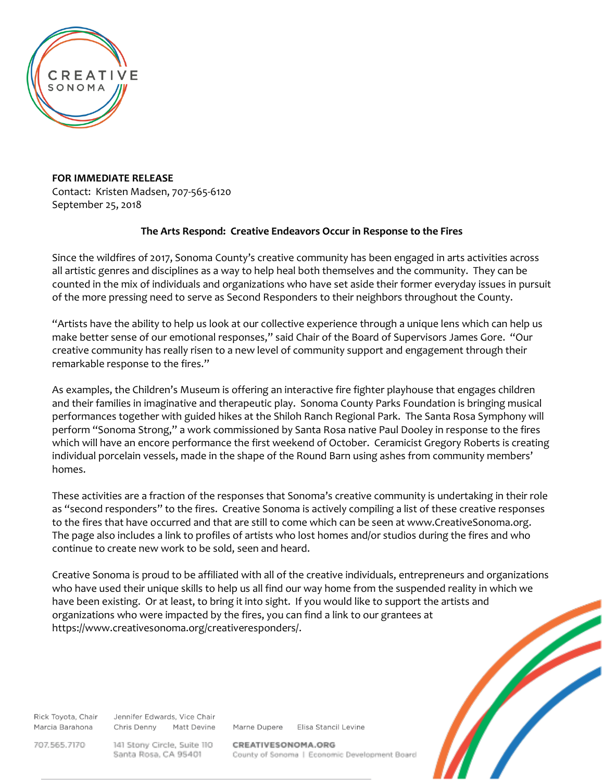

**FOR IMMEDIATE RELEASE** Contact: Kristen Madsen, 707-565-6120 September 25, 2018

## **The Arts Respond: Creative Endeavors Occur in Response to the Fires**

Since the wildfires of 2017, Sonoma County's creative community has been engaged in arts activities across all artistic genres and disciplines as a way to help heal both themselves and the community. They can be counted in the mix of individuals and organizations who have set aside their former everyday issues in pursuit of the more pressing need to serve as Second Responders to their neighbors throughout the County.

"Artists have the ability to help us look at our collective experience through a unique lens which can help us make better sense of our emotional responses," said Chair of the Board of Supervisors James Gore. "Our creative community has really risen to a new level of community support and engagement through their remarkable response to the fires."

As examples, the Children's Museum is offering an interactive fire fighter playhouse that engages children and their families in imaginative and therapeutic play. Sonoma County Parks Foundation is bringing musical performances together with guided hikes at the Shiloh Ranch Regional Park. The Santa Rosa Symphony will perform "Sonoma Strong," a work commissioned by Santa Rosa native Paul Dooley in response to the fires which will have an encore performance the first weekend of October. Ceramicist Gregory Roberts is creating individual porcelain vessels, made in the shape of the Round Barn using ashes from community members' homes.

These activities are a fraction of the responses that Sonoma's creative community is undertaking in their role as "second responders" to the fires. Creative Sonoma is actively compiling a list of these creative responses to the fires that have occurred and that are still to come which can be seen at www.CreativeSonoma.org. The page also includes a link to profiles of artists who lost homes and/or studios during the fires and who continue to create new work to be sold, seen and heard.

Creative Sonoma is proud to be affiliated with all of the creative individuals, entrepreneurs and organizations who have used their unique skills to help us all find our way home from the suspended reality in which we have been existing. Or at least, to bring it into sight. If you would like to support the artists and organizations who were impacted by the fires, you can find a link to our grantees at https://www.creativesonoma.org/creativeresponders/.

Rick Toyota, Chair Marcia Barahona

Jennifer Edwards, Vice Chair Chris Denny Matt Devine

Marne Dupere Elisa Stancil Levine

707.565.7170

141 Stony Circle, Suite 110 Santa Rosa, CA 95401

CREATIVESONOMA.ORG County of Sonoma | Economic Development Board